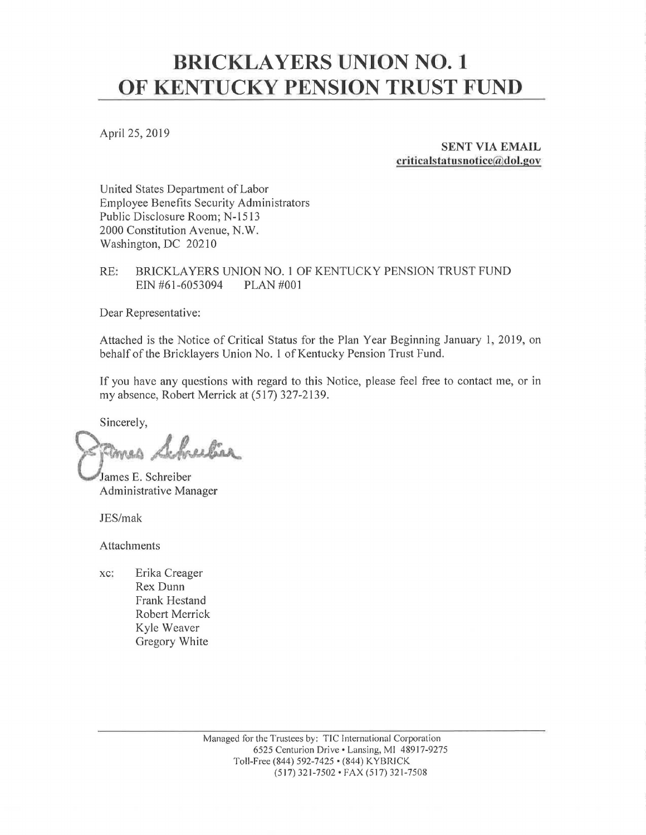## **BRICKLAYERS UNION NO. 1 OF KENTUCKY PENSION TRUST FUND**

April 25, 2019

**SENT VIA EMAIL criticalstal'usnotice@dol.gov** 

United States Department of Labor Employee Benefits Security Administrators Public Disclosure Room; N-1513 2000 Constitution A venue, N. W. Washington, DC 20210

RE: BRICKLAYERS UNION NO. 1 OF KENTUCKY PENSION TRUST FUND EIN #61-6053094 PLAN #001

Dear Representative:

Attached is the Notice of Critical Status for the Plan Year Beginning January 1, 2019, on behalf of the Bricklayers Union No. 1 of Kentucky Pension Trust Fund.

If you have any questions with regard to this Notice, please feel free to contact me, or in my absence, Robert Merrick at (517) 327-2139.

Sincerely,

Schreebire ames

James E. Schreiber Administrative Manager

JES/mak

Attachments

xc: Erika Creager Rex Dunn Frank Hestand Robert Merrick Kyle Weaver Gregory White